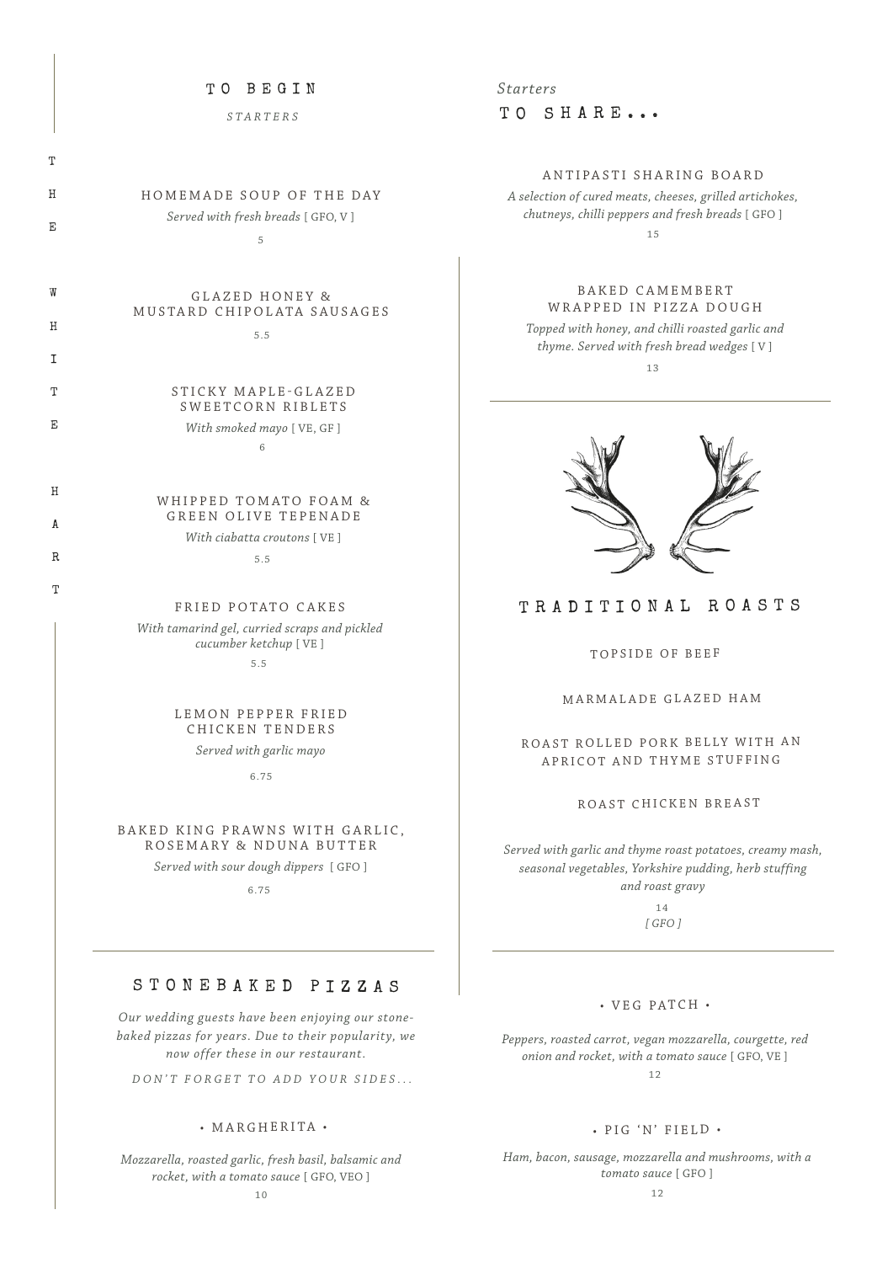### TO BEGIN

*STARTERS*

| T  |                                          |  |
|----|------------------------------------------|--|
| Η  | HOMEMADE SOUP OF THE DAY                 |  |
| E  | Served with fresh breads [GFO, V]        |  |
|    | 5                                        |  |
| W  | GLAZED HONEY &                           |  |
| Η  | MUSTARD CHIPOLATA SAUSAGES               |  |
| т  | 5.5                                      |  |
|    |                                          |  |
| Т  | STICKY MAPLE-GLAZED<br>SWEETCORN RIBLETS |  |
| F. | With smoked mayo [VE, GF]                |  |
|    | 6                                        |  |
|    |                                          |  |
| H  | WHIPPED TOMATO FOAM &                    |  |
| A  | <b>GREEN OLIVE TEPENADE</b>              |  |
|    | With ciabatta croutons [VE]              |  |
| R. | 5.5                                      |  |
| T  |                                          |  |
|    | FRIED POTATO CAKES                       |  |

*With tamarind gel, curried scraps and pickled cucumber ketchup* [ VE ] 5.5

> LEMON PEPPER FRIED CHICKEN TENDERS

*Served with garlic mayo*

6.75

#### BAKED KING PRAWNS WITH GARLIC. ROSEMARY & NDUNA BUTTER

*Served with sour dough dippers* [ GFO ]

6.75

# STONEBAKED PIZZAS

*Our wedding guests have been enjoying our stonebaked pizzas for years. Due to their popularity, we now offer these in our restaurant.*

*DON'T FORGET TO ADD YOUR SIDES...*

## • MARGHERITA •

*Mozzarella, roasted garlic, fresh basil, balsamic and rocket, with a tomato sauce* [ GFO, VEO ]

TO SHARE... *Starters*

# ANTIPASTI SHARING BOARD

*A selection of cured meats, cheeses, grilled artichokes, chutneys, chilli peppers and fresh breads* [ GFO ] 15

## B A K E D C A M E M B E R T WRAPPED IN PIZZA DOUGH

*Topped with honey, and chilli roasted garlic and thyme. Served with fresh bread wedges* [ V ] 13



# TRADITIONAL ROASTS

#### TOPSIDE OF BEEF

#### MARMALADE GLAZED HAM

ROAST ROLLED PORK BELLY WITH AN APRICOT AND THYME STUFFING

## ROAST CHICKEN BREAST

*Served with garlic and thyme roast potatoes, creamy mash, seasonal vegetables, Yorkshire pudding, herb stuffing and roast gravy*

> *[ GFO ]* 14

#### • VEG PATCH •

*Peppers, roasted carrot, vegan mozzarella, courgette, red onion and rocket, with a tomato sauce* [ GFO, VE ] 12

## • PIG 'N' FIELD •

*Ham, bacon, sausage, mozzarella and mushrooms, with a tomato sauce* [ GFO ]